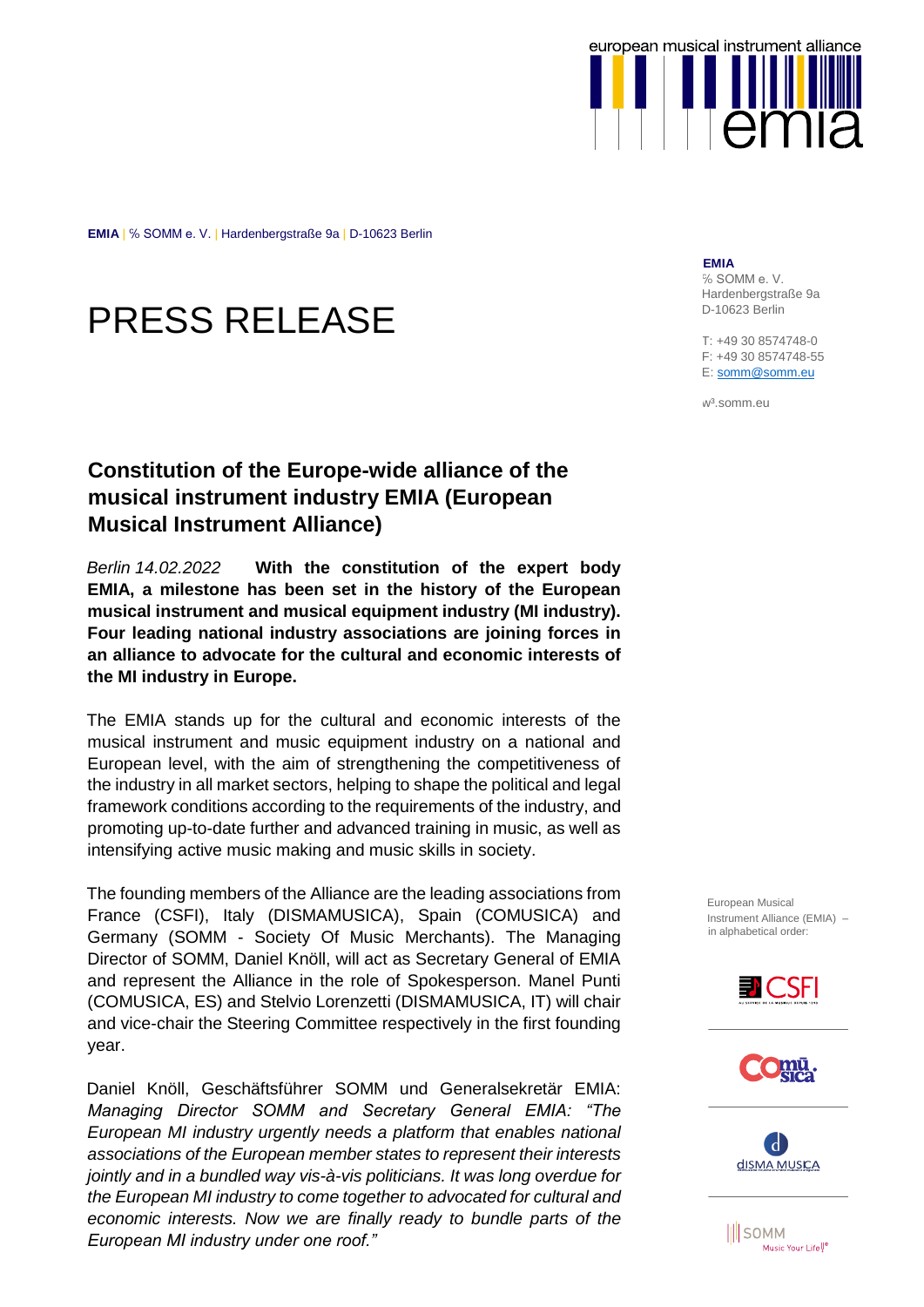

**EMIA** | ℅ SOMM e. V. | Hardenbergstraße 9a | D-10623 Berlin

# PRESS RELEASE

## **Constitution of the Europe-wide alliance of the musical instrument industry EMIA (European Musical Instrument Alliance)**

*Berlin 14.02.2022* **With the constitution of the expert body EMIA, a milestone has been set in the history of the European musical instrument and musical equipment industry (MI industry). Four leading national industry associations are joining forces in an alliance to advocate for the cultural and economic interests of the MI industry in Europe.**

The EMIA stands up for the cultural and economic interests of the musical instrument and music equipment industry on a national and European level, with the aim of strengthening the competitiveness of the industry in all market sectors, helping to shape the political and legal framework conditions according to the requirements of the industry, and promoting up-to-date further and advanced training in music, as well as intensifying active music making and music skills in society.

The founding members of the Alliance are the leading associations from France (CSFI), Italy (DISMAMUSICA), Spain (COMUSICA) and Germany (SOMM - Society Of Music Merchants). The Managing Director of SOMM, Daniel Knöll, will act as Secretary General of EMIA and represent the Alliance in the role of Spokesperson. Manel Punti (COMUSICA, ES) and Stelvio Lorenzetti (DISMAMUSICA, IT) will chair and vice-chair the Steering Committee respectively in the first founding year.

Daniel Knöll, Geschäftsführer SOMM und Generalsekretär EMIA: *Managing Director SOMM and Secretary General EMIA: "The European MI industry urgently needs a platform that enables national associations of the European member states to represent their interests jointly and in a bundled way vis-à-vis politicians. It was long overdue for the European MI industry to come together to advocated for cultural and economic interests. Now we are finally ready to bundle parts of the European MI industry under one roof."*

**EMIA**

% SOMM e.V. Hardenbergstraße 9a D-10623 Berlin

T: +49 30 8574748-0 F: +49 30 8574748-55 E[: somm@somm.eu](mailto:somm@somm.eu)

w³.somm.eu

European Musical Instrument Alliance (EMIA) – in alphabetical order:







**III** SOMM Music Your Life<sup>U®</sup>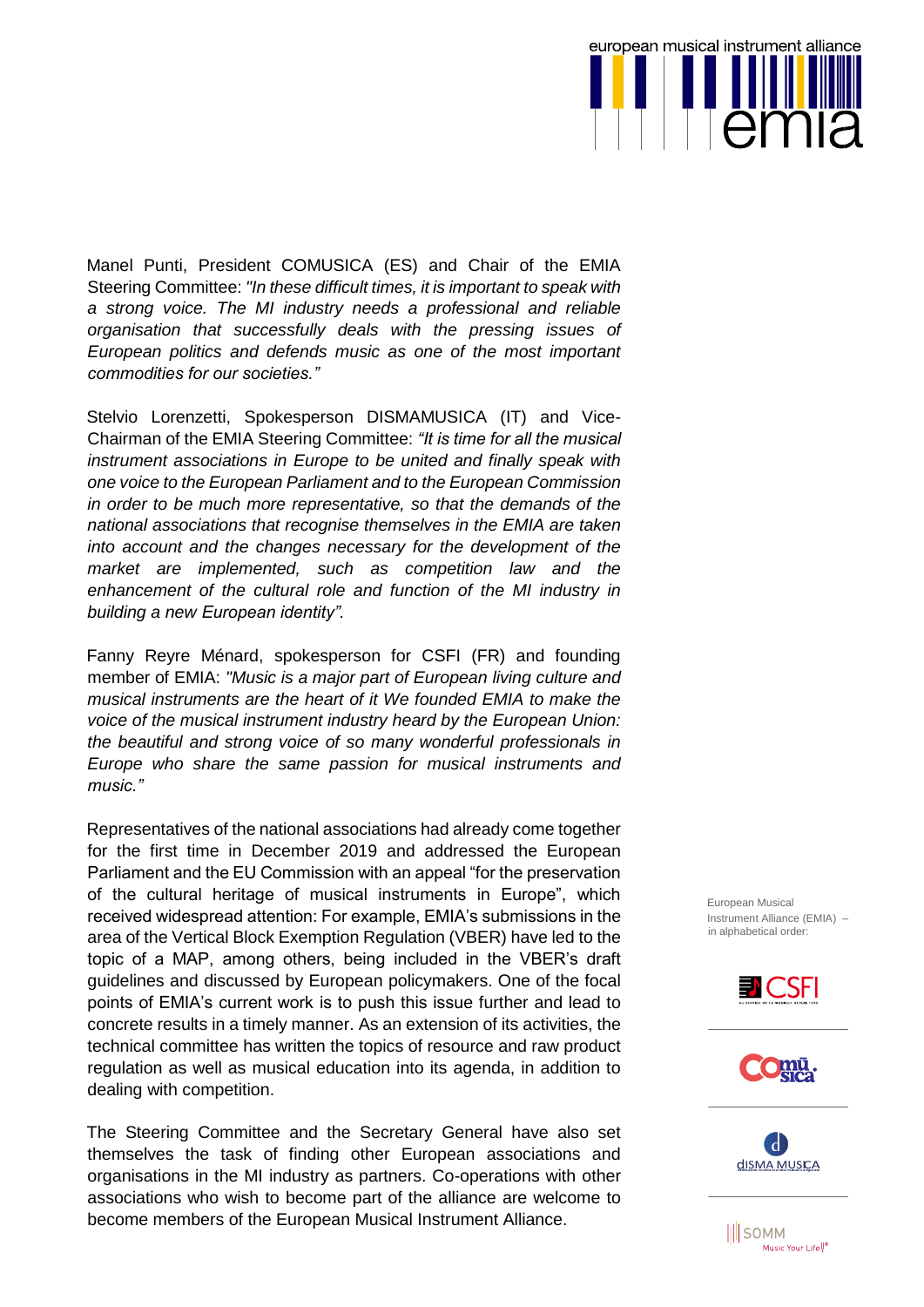european musical instrument alliance err

Manel Punti, President COMUSICA (ES) and Chair of the EMIA Steering Committee: *"In these difficult times, it is important to speak with a strong voice. The MI industry needs a professional and reliable organisation that successfully deals with the pressing issues of European politics and defends music as one of the most important commodities for our societies."*

Stelvio Lorenzetti, Spokesperson DISMAMUSICA (IT) and Vice-Chairman of the EMIA Steering Committee: *"It is time for all the musical instrument associations in Europe to be united and finally speak with one voice to the European Parliament and to the European Commission in order to be much more representative, so that the demands of the national associations that recognise themselves in the EMIA are taken into account and the changes necessary for the development of the market are implemented, such as competition law and the enhancement of the cultural role and function of the MI industry in building a new European identity".*

Fanny Reyre Ménard, spokesperson for CSFI (FR) and founding member of EMIA: *"Music is a major part of European living culture and musical instruments are the heart of it We founded EMIA to make the voice of the musical instrument industry heard by the European Union: the beautiful and strong voice of so many wonderful professionals in Europe who share the same passion for musical instruments and music."*

Representatives of the national associations had already come together for the first time in December 2019 and addressed the European Parliament and the EU Commission with an appeal "for the preservation of the cultural heritage of musical instruments in Europe", which received widespread attention: For example, EMIA's submissions in the area of the Vertical Block Exemption Regulation (VBER) have led to the topic of a MAP, among others, being included in the VBER's draft guidelines and discussed by European policymakers. One of the focal points of EMIA's current work is to push this issue further and lead to concrete results in a timely manner. As an extension of its activities, the technical committee has written the topics of resource and raw product regulation as well as musical education into its agenda, in addition to dealing with competition.

The Steering Committee and the Secretary General have also set themselves the task of finding other European associations and organisations in the MI industry as partners. Co-operations with other associations who wish to become part of the alliance are welcome to become members of the European Musical Instrument Alliance.

European Musical Instrument Alliance (EMIA) – in alphabetical order:







**III** SOMM Music Your Life<sup>U®</sup>